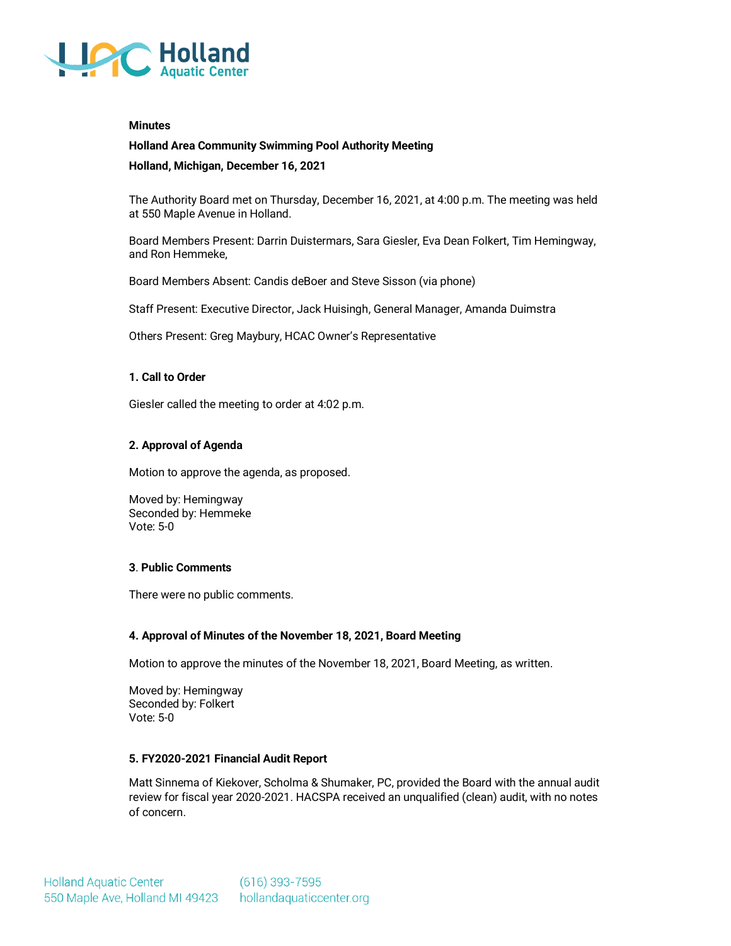

#### **Minutes**

# **Holland Area Community Swimming Pool Authority Meeting**

**Holland, Michigan, December 16, 2021**

The Authority Board met on Thursday, December 16, 2021, at 4:00 p.m. The meeting was held at 550 Maple Avenue in Holland.

Board Members Present: Darrin Duistermars, Sara Giesler, Eva Dean Folkert, Tim Hemingway, and Ron Hemmeke,

Board Members Absent: Candis deBoer and Steve Sisson (via phone)

Staff Present: Executive Director, Jack Huisingh, General Manager, Amanda Duimstra

Others Present: Greg Maybury, HCAC Owner's Representative

#### **1. Call to Order**

Giesler called the meeting to order at 4:02 p.m.

# **2. Approval of Agenda**

Motion to approve the agenda, as proposed.

Moved by: Hemingway Seconded by: Hemmeke Vote: 5-0

# **3**. **Public Comments**

There were no public comments.

# **4. Approval of Minutes of the November 18, 2021, Board Meeting**

Motion to approve the minutes of the November 18, 2021, Board Meeting, as written.

Moved by: Hemingway Seconded by: Folkert Vote: 5-0

# **5. FY2020-2021 Financial Audit Report**

Matt Sinnema of Kiekover, Scholma & Shumaker, PC, provided the Board with the annual audit review for fiscal year 2020-2021. HACSPA received an unqualified (clean) audit, with no notes of concern.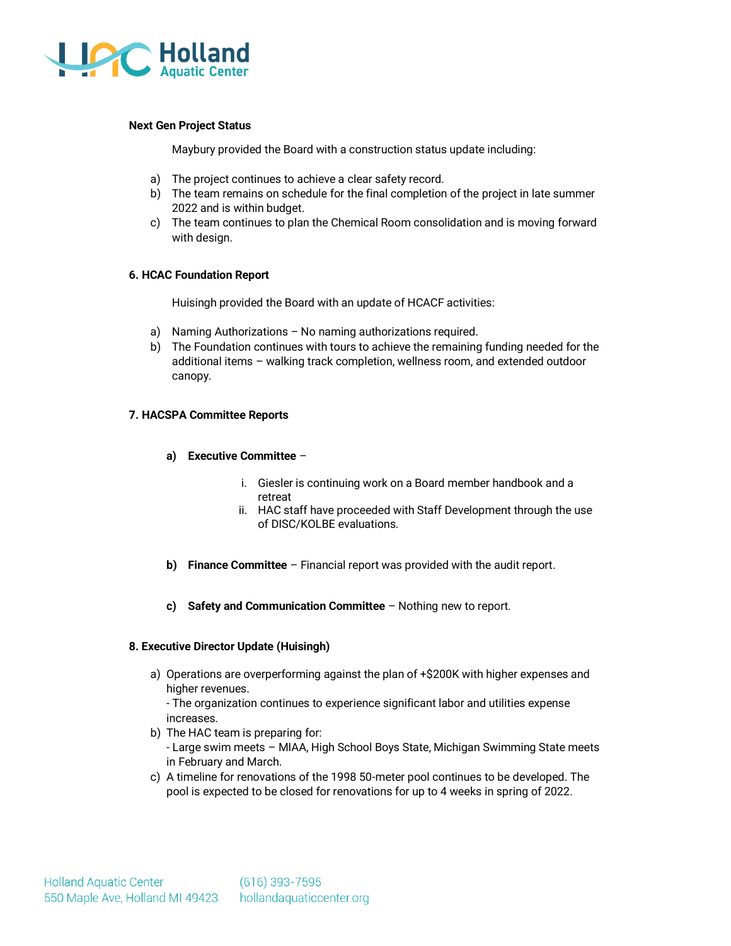

#### **Next Gen Project Status**

Maybury provided the Board with a construction status update including:

- a) The project continues to achieve a clear safety record.
- b) The team remains on schedule for the final completion of the project in late summer 2022 and is within budget.
- c) The team continues to plan the Chemical Room consolidation and is moving forward with design.

#### **6. HCAC Foundation Report**

Huisingh provided the Board with an update of HCACF activities:

- a) Naming Authorizations No naming authorizations required.
- b) The Foundation continues with tours to achieve the remaining funding needed for the additional items – walking track completion, wellness room, and extended outdoor canopy.

#### **7. HACSPA Committee Reports**

- **a) Executive Committee**
	- i. Giesler is continuing work on a Board member handbook and a retreat
	- ii. HAC staff have proceeded with Staff Development through the use of DISC/KOLBE evaluations.
- **b) Finance Committee** Financial report was provided with the audit report.
- **c) Safety and Communication Committee**  Nothing new to report.

# **8. Executive Director Update (Huisingh)**

a) Operations are overperforming against the plan of +\$200K with higher expenses and higher revenues.

- The organization continues to experience significant labor and utilities expense increases.

- b) The HAC team is preparing for: - Large swim meets – MIAA, High School Boys State, Michigan Swimming State meets in February and March.
- c) A timeline for renovations of the 1998 50-meter pool continues to be developed. The pool is expected to be closed for renovations for up to 4 weeks in spring of 2022.